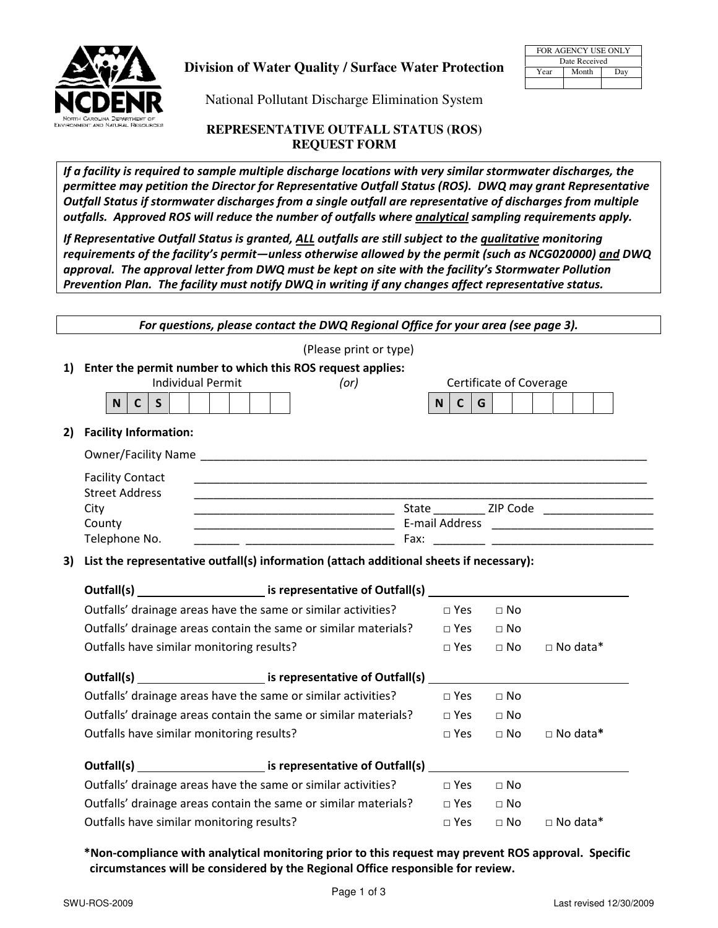

## **Division of Water Quality / Surface Water Protection**

| FOR AGENCY USE ONLY |       |     |  |  |  |  |  |
|---------------------|-------|-----|--|--|--|--|--|
| Date Received       |       |     |  |  |  |  |  |
| Year                | Month | Dav |  |  |  |  |  |
|                     |       |     |  |  |  |  |  |

National Pollutant Discharge Elimination System

## **REPRESENTATIVE OUTFALL STATUS (ROS) REQUEST FORM**

If a facility is required to sample multiple discharge locations with very similar stormwater discharges, the permittee may petition the Director for Representative Outfall Status (ROS). DWQ may grant Representative Outfall Status if stormwater discharges from a single outfall are representative of discharges from multiple outfalls. Approved ROS will reduce the number of outfalls where **analytical** sampling requirements apply.

If Representative Outfall Status is granted, ALL outfalls are still subject to the *qualitative* monitoring requirements of the facility's permit—unless otherwise allowed by the permit (such as NCG020000) and DWQ approval. The approval letter from DWQ must be kept on site with the facility's Stormwater Pollution Prevention Plan. The facility must notify DWQ in writing if any changes affect representative status.

|    |                                           | For questions, please contact the DWQ Regional Office for your area (see page 3).                   |                          |                         |                 |
|----|-------------------------------------------|-----------------------------------------------------------------------------------------------------|--------------------------|-------------------------|-----------------|
|    |                                           | (Please print or type)                                                                              |                          |                         |                 |
|    |                                           | 1) Enter the permit number to which this ROS request applies:                                       |                          |                         |                 |
|    |                                           | <b>Individual Permit</b><br>(or)                                                                    |                          | Certificate of Coverage |                 |
|    | <b>N</b><br>$\mathsf{C}$<br>$\mathsf{S}$  |                                                                                                     | G<br>c <sub>1</sub><br>N |                         |                 |
| 2) | <b>Facility Information:</b>              |                                                                                                     |                          |                         |                 |
|    |                                           | Owner/Facility Name                                                                                 |                          |                         |                 |
|    | <b>Facility Contact</b>                   |                                                                                                     |                          |                         |                 |
|    | <b>Street Address</b>                     |                                                                                                     |                          |                         |                 |
|    | City                                      |                                                                                                     |                          |                         |                 |
|    | County<br>Telephone No.                   |                                                                                                     |                          |                         |                 |
|    |                                           |                                                                                                     |                          |                         |                 |
| 3) |                                           | List the representative outfall(s) information (attach additional sheets if necessary):             |                          |                         |                 |
|    |                                           | Outfall(s) ___________________________ is representative of Outfall(s) ____________________________ |                          |                         |                 |
|    |                                           | Outfalls' drainage areas have the same or similar activities?                                       | $\Box$ Yes $\Box$ No     |                         |                 |
|    |                                           | Outfalls' drainage areas contain the same or similar materials?                                     | $\Box$ Yes $\Box$ No     |                         |                 |
|    | Outfalls have similar monitoring results? |                                                                                                     | $\Box$ Yes               | $\Box$ No               | $\Box$ No data* |
|    |                                           | Outfall(s) The is representative of Outfall(s)                                                      |                          |                         |                 |
|    |                                           | Outfalls' drainage areas have the same or similar activities?                                       | $\Box$ Yes               | $\Box$ No               |                 |
|    |                                           | Outfalls' drainage areas contain the same or similar materials?                                     | $\Box$ Yes $\Box$ No     |                         |                 |
|    | Outfalls have similar monitoring results? |                                                                                                     | $\square$ Yes            | $\Box$ No               | □ No data*      |
|    |                                           |                                                                                                     |                          |                         |                 |
|    |                                           | Outfall(s) ___________________________ is representative of Outfall(s) __                           |                          |                         |                 |
|    |                                           | Outfalls' drainage areas have the same or similar activities?                                       | $\Box$ Yes               | $\Box$ No               |                 |
|    |                                           |                                                                                                     |                          |                         |                 |
|    |                                           | Outfalls' drainage areas contain the same or similar materials?                                     | $\Box$ Yes               | $\Box$ No               |                 |
|    | Outfalls have similar monitoring results? |                                                                                                     |                          | $\Box$ Yes $\Box$ No    | $\Box$ No data* |

## \*Non-compliance with analytical monitoring prior to this request may prevent ROS approval. Specific circumstances will be considered by the Regional Office responsible for review.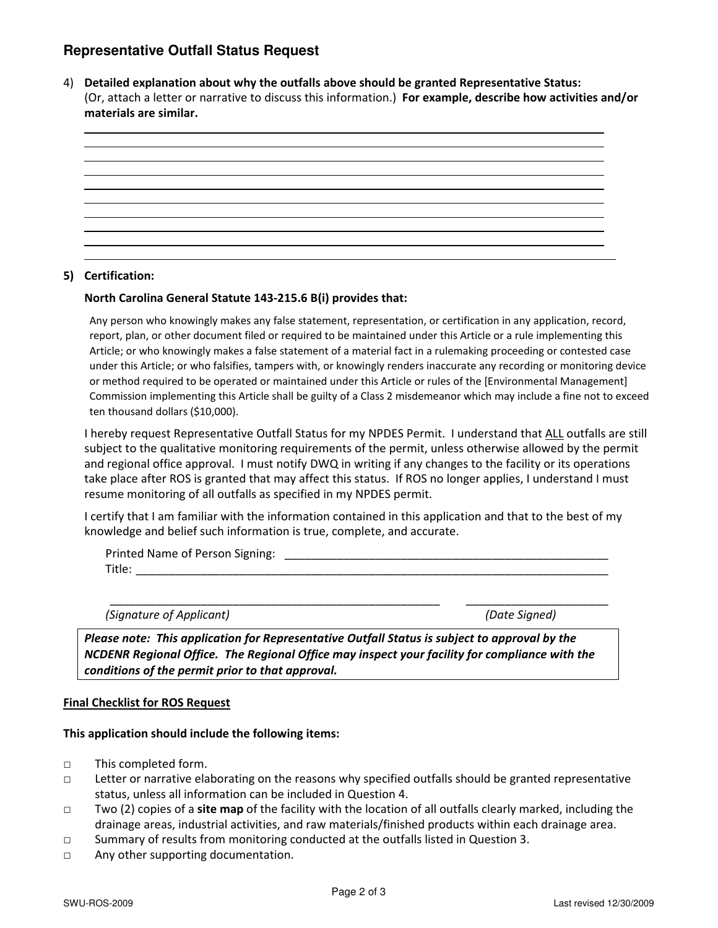# **Representative Outfall Status Request**

4) Detailed explanation about why the outfalls above should be granted Representative Status: (Or, attach a letter or narrative to discuss this information.) For example, describe how activities and/or materials are similar.



### 5) Certification:

#### North Carolina General Statute 143-215.6 B(i) provides that:

Any person who knowingly makes any false statement, representation, or certification in any application, record, report, plan, or other document filed or required to be maintained under this Article or a rule implementing this Article; or who knowingly makes a false statement of a material fact in a rulemaking proceeding or contested case under this Article; or who falsifies, tampers with, or knowingly renders inaccurate any recording or monitoring device or method required to be operated or maintained under this Article or rules of the [Environmental Management] Commission implementing this Article shall be guilty of a Class 2 misdemeanor which may include a fine not to exceed ten thousand dollars (\$10,000).

I hereby request Representative Outfall Status for my NPDES Permit. I understand that ALL outfalls are still subject to the qualitative monitoring requirements of the permit, unless otherwise allowed by the permit and regional office approval. I must notify DWQ in writing if any changes to the facility or its operations take place after ROS is granted that may affect this status. If ROS no longer applies, I understand I must resume monitoring of all outfalls as specified in my NPDES permit.

I certify that I am familiar with the information contained in this application and that to the best of my knowledge and belief such information is true, complete, and accurate.

| Printed Name of Person Signing: |  |
|---------------------------------|--|
| Title:                          |  |

\_\_\_\_\_\_\_\_\_\_\_\_\_\_\_\_\_\_\_\_\_\_\_\_\_\_\_\_\_\_\_\_\_\_\_\_\_\_\_\_\_\_\_\_\_\_\_\_\_\_\_ \_\_\_\_\_\_\_\_\_\_\_\_\_\_\_\_\_\_\_\_\_\_

(Signature of Applicant) (Date Signed)

Please note: This application for Representative Outfall Status is subject to approval by the NCDENR Regional Office. The Regional Office may inspect your facility for compliance with the conditions of the permit prior to that approval.

#### Final Checklist for ROS Request

#### This application should include the following items:

- □ This completed form.
- □ Letter or narrative elaborating on the reasons why specified outfalls should be granted representative status, unless all information can be included in Question 4.
- $\Box$  Two (2) copies of a site map of the facility with the location of all outfalls clearly marked, including the drainage areas, industrial activities, and raw materials/finished products within each drainage area.
- □ Summary of results from monitoring conducted at the outfalls listed in Question 3.
- □ Any other supporting documentation.